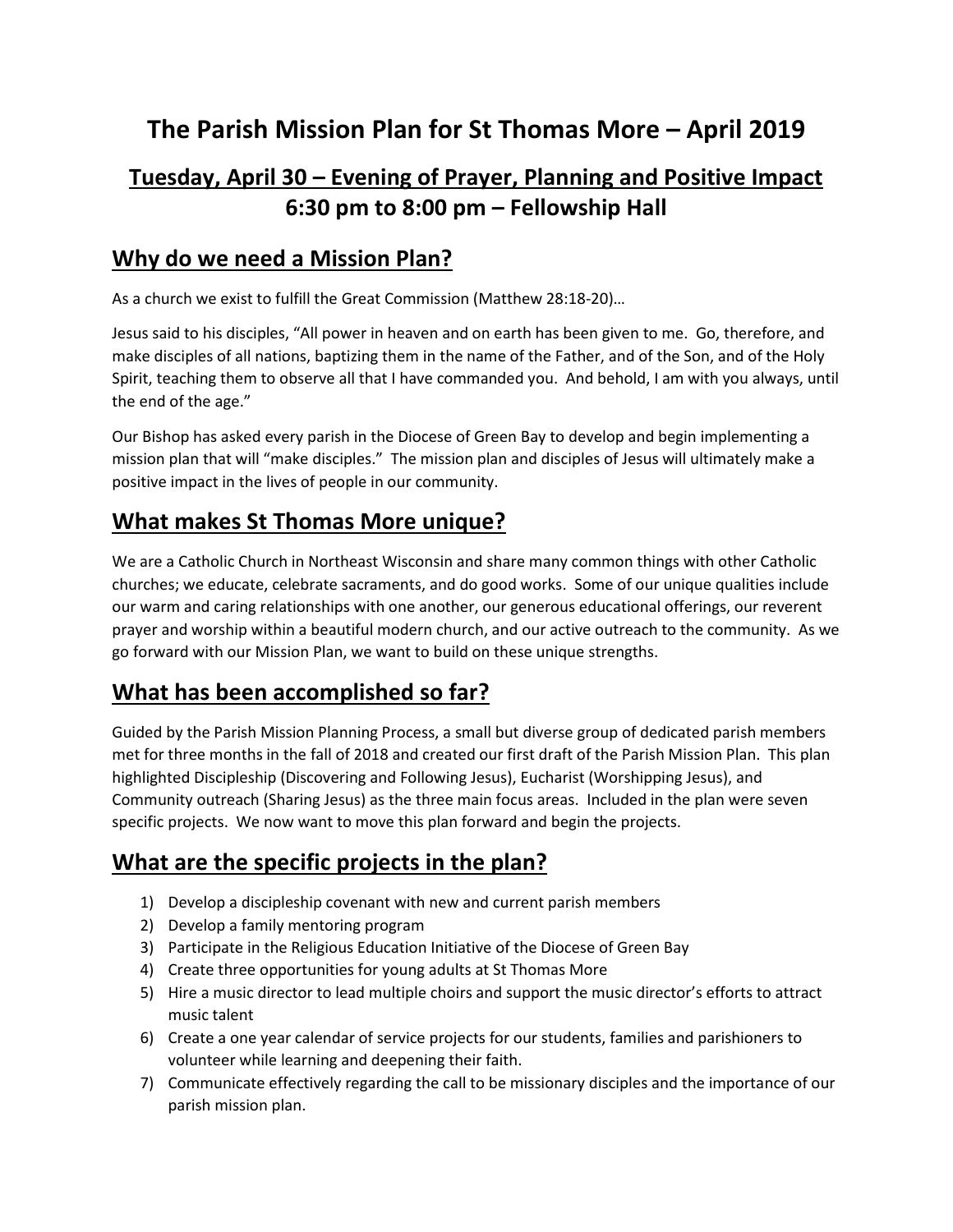# **The Parish Mission Plan for St Thomas More – April 2019**

# **Tuesday, April 30 – Evening of Prayer, Planning and Positive Impact 6:30 pm to 8:00 pm – Fellowship Hall**

#### **Why do we need a Mission Plan?**

As a church we exist to fulfill the Great Commission (Matthew 28:18-20)…

Jesus said to his disciples, "All power in heaven and on earth has been given to me. Go, therefore, and make disciples of all nations, baptizing them in the name of the Father, and of the Son, and of the Holy Spirit, teaching them to observe all that I have commanded you. And behold, I am with you always, until the end of the age."

Our Bishop has asked every parish in the Diocese of Green Bay to develop and begin implementing a mission plan that will "make disciples." The mission plan and disciples of Jesus will ultimately make a positive impact in the lives of people in our community.

#### **What makes St Thomas More unique?**

We are a Catholic Church in Northeast Wisconsin and share many common things with other Catholic churches; we educate, celebrate sacraments, and do good works. Some of our unique qualities include our warm and caring relationships with one another, our generous educational offerings, our reverent prayer and worship within a beautiful modern church, and our active outreach to the community. As we go forward with our Mission Plan, we want to build on these unique strengths.

#### **What has been accomplished so far?**

Guided by the Parish Mission Planning Process, a small but diverse group of dedicated parish members met for three months in the fall of 2018 and created our first draft of the Parish Mission Plan. This plan highlighted Discipleship (Discovering and Following Jesus), Eucharist (Worshipping Jesus), and Community outreach (Sharing Jesus) as the three main focus areas. Included in the plan were seven specific projects. We now want to move this plan forward and begin the projects.

## **What are the specific projects in the plan?**

- 1) Develop a discipleship covenant with new and current parish members
- 2) Develop a family mentoring program
- 3) Participate in the Religious Education Initiative of the Diocese of Green Bay
- 4) Create three opportunities for young adults at St Thomas More
- 5) Hire a music director to lead multiple choirs and support the music director's efforts to attract music talent
- 6) Create a one year calendar of service projects for our students, families and parishioners to volunteer while learning and deepening their faith.
- 7) Communicate effectively regarding the call to be missionary disciples and the importance of our parish mission plan.